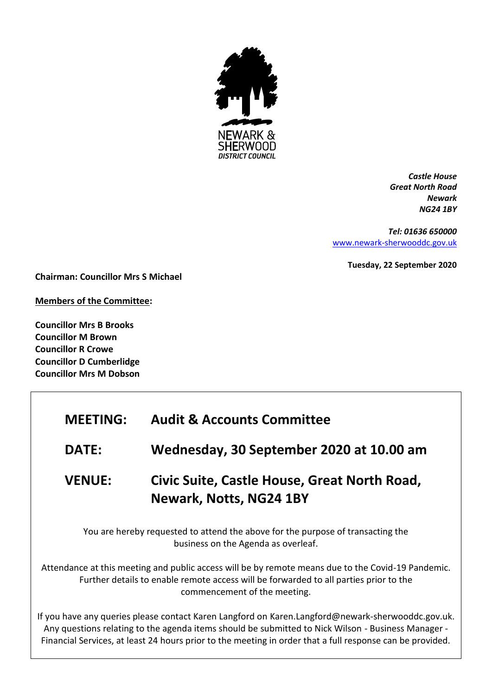

*Castle House Great North Road Newark NG24 1BY*

*Tel: 01636 650000* [www.newark-sherwooddc.gov.uk](http://www.newark-sherwooddc.gov.uk/)

**Tuesday, 22 September 2020**

**Chairman: Councillor Mrs S Michael**

**Members of the Committee:**

**Councillor Mrs B Brooks Councillor M Brown Councillor R Crowe Councillor D Cumberlidge Councillor Mrs M Dobson**

| <b>MEETING:</b> | <b>Audit &amp; Accounts Committee</b>                                   |
|-----------------|-------------------------------------------------------------------------|
| <b>DATE:</b>    | Wednesday, 30 September 2020 at 10.00 am                                |
| <b>VENUE:</b>   | Civic Suite, Castle House, Great North Road,<br>Newark, Notts, NG24 1BY |

You are hereby requested to attend the above for the purpose of transacting the business on the Agenda as overleaf.

Attendance at this meeting and public access will be by remote means due to the Covid-19 Pandemic. Further details to enable remote access will be forwarded to all parties prior to the commencement of the meeting.

If you have any queries please contact Karen Langford on Karen.Langford@newark-sherwooddc.gov.uk. Any questions relating to the agenda items should be submitted to Nick Wilson - Business Manager - Financial Services, at least 24 hours prior to the meeting in order that a full response can be provided.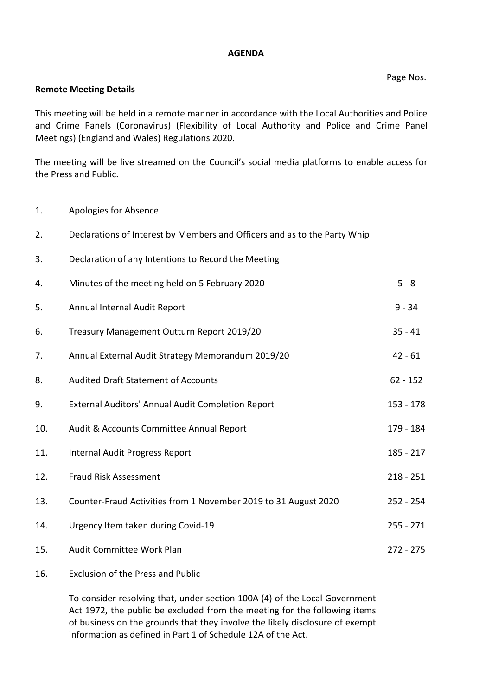## **AGENDA**

## Page Nos.

#### **Remote Meeting Details**

This meeting will be held in a remote manner in accordance with the Local Authorities and Police and Crime Panels (Coronavirus) (Flexibility of Local Authority and Police and Crime Panel Meetings) (England and Wales) Regulations 2020.

The meeting will be live streamed on the Council's social media platforms to enable access for the Press and Public.

1. Apologies for Absence

| 2.  | Declarations of Interest by Members and Officers and as to the Party Whip |             |
|-----|---------------------------------------------------------------------------|-------------|
| 3.  | Declaration of any Intentions to Record the Meeting                       |             |
| 4.  | Minutes of the meeting held on 5 February 2020                            | $5 - 8$     |
| 5.  | Annual Internal Audit Report                                              | $9 - 34$    |
| 6.  | Treasury Management Outturn Report 2019/20                                | $35 - 41$   |
| 7.  | Annual External Audit Strategy Memorandum 2019/20                         | $42 - 61$   |
| 8.  | <b>Audited Draft Statement of Accounts</b>                                | $62 - 152$  |
| 9.  | External Auditors' Annual Audit Completion Report                         | $153 - 178$ |
| 10. | Audit & Accounts Committee Annual Report                                  | 179 - 184   |
| 11. | Internal Audit Progress Report                                            | 185 - 217   |
| 12. | <b>Fraud Risk Assessment</b>                                              | $218 - 251$ |
| 13. | Counter-Fraud Activities from 1 November 2019 to 31 August 2020           | 252 - 254   |
| 14. | Urgency Item taken during Covid-19                                        | $255 - 271$ |
| 15. | Audit Committee Work Plan                                                 | $272 - 275$ |

# 16. Exclusion of the Press and Public

To consider resolving that, under section 100A (4) of the Local Government Act 1972, the public be excluded from the meeting for the following items of business on the grounds that they involve the likely disclosure of exempt information as defined in Part 1 of Schedule 12A of the Act.